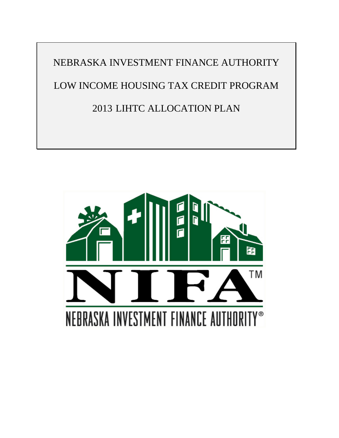NEBRASKA INVESTMENT FINANCE AUTHORITY LOW INCOME HOUSING TAX CREDIT PROGRAM 2013 LIHTC ALLOCATION PLAN

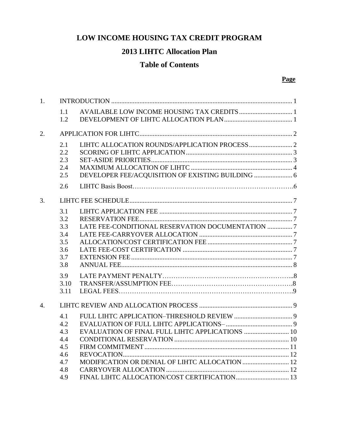# **LOW INCOME HOUSING TAX CREDIT PROGRAM**

## **2013 LIHTC Allocation Plan**

## **Table of Contents**

#### **Page**

| 1.               |                                                      |                                                  |  |  |  |  |  |
|------------------|------------------------------------------------------|--------------------------------------------------|--|--|--|--|--|
|                  | 1.1<br>1.2                                           |                                                  |  |  |  |  |  |
| 2.               |                                                      |                                                  |  |  |  |  |  |
|                  | 2.1<br>2.2<br>2.3<br>2.4<br>2.5<br>2.6               |                                                  |  |  |  |  |  |
| 3.               |                                                      |                                                  |  |  |  |  |  |
|                  | 3.1<br>3.2<br>3.3<br>3.4<br>3.5<br>3.6<br>3.7<br>3.8 | LATE FEE-CONDITIONAL RESERVATION DOCUMENTATION 7 |  |  |  |  |  |
|                  | 3.9<br>3.10<br>3.11                                  |                                                  |  |  |  |  |  |
| $\overline{4}$ . |                                                      |                                                  |  |  |  |  |  |
|                  | 4.1<br>4.2<br>4.3<br>4.4<br>4.5<br>4.6<br>4.7<br>4.8 |                                                  |  |  |  |  |  |
|                  | 4.9                                                  |                                                  |  |  |  |  |  |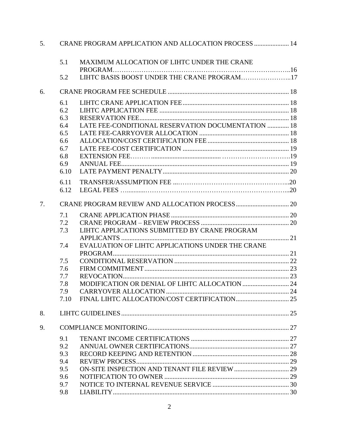| 5. |      | CRANE PROGRAM APPLICATION AND ALLOCATION PROCESS  14 |  |  |  |
|----|------|------------------------------------------------------|--|--|--|
|    | 5.1  | MAXIMUM ALLOCATION OF LIHTC UNDER THE CRANE          |  |  |  |
|    | 5.2  | LIHTC BASIS BOOST UNDER THE CRANE PROGRAM17          |  |  |  |
| 6. |      |                                                      |  |  |  |
|    | 6.1  |                                                      |  |  |  |
|    | 6.2  |                                                      |  |  |  |
|    | 6.3  |                                                      |  |  |  |
|    | 6.4  | LATE FEE-CONDITIONAL RESERVATION DOCUMENTATION  18   |  |  |  |
|    | 6.5  |                                                      |  |  |  |
|    | 6.6  |                                                      |  |  |  |
|    | 6.7  |                                                      |  |  |  |
|    | 6.8  |                                                      |  |  |  |
|    | 6.9  |                                                      |  |  |  |
|    | 6.10 |                                                      |  |  |  |
|    | 6.11 |                                                      |  |  |  |
|    | 6.12 |                                                      |  |  |  |
| 7. |      |                                                      |  |  |  |
|    | 7.1  |                                                      |  |  |  |
|    | 7.2  |                                                      |  |  |  |
|    | 7.3  | LIHTC APPLICATIONS SUBMITTED BY CRANE PROGRAM        |  |  |  |
|    | 7.4  | EVALUATION OF LIHTC APPLICATIONS UNDER THE CRANE     |  |  |  |
|    |      |                                                      |  |  |  |
|    | 7.5  |                                                      |  |  |  |
|    | 7.6  |                                                      |  |  |  |
|    | 7.7  |                                                      |  |  |  |
|    | 7.8  |                                                      |  |  |  |
|    | 7.9  |                                                      |  |  |  |
|    | 7.10 |                                                      |  |  |  |
| 8. |      |                                                      |  |  |  |
| 9. |      |                                                      |  |  |  |
|    | 9.1  |                                                      |  |  |  |
|    | 9.2  |                                                      |  |  |  |
|    | 9.3  |                                                      |  |  |  |
|    | 9.4  |                                                      |  |  |  |
|    | 9.5  |                                                      |  |  |  |
|    | 9.6  |                                                      |  |  |  |
|    | 9.7  |                                                      |  |  |  |
|    | 9.8  |                                                      |  |  |  |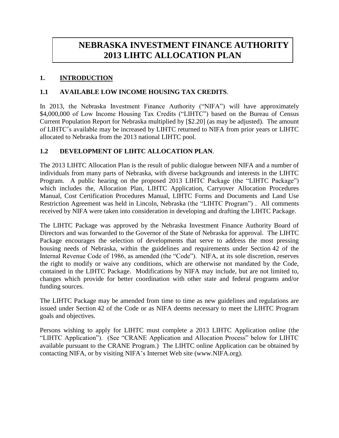# **NEBRASKA INVESTMENT FINANCE AUTHORITY 2013 LIHTC ALLOCATION PLAN**

## **1. INTRODUCTION**

### **1.1 AVAILABLE LOW INCOME HOUSING TAX CREDITS**.

In 2013, the Nebraska Investment Finance Authority ("NIFA") will have approximately \$4,000,000 of Low Income Housing Tax Credits ("LIHTC") based on the Bureau of Census Current Population Report for Nebraska multiplied by [\$2.20] (as may be adjusted). The amount of LIHTC's available may be increased by LIHTC returned to NIFA from prior years or LIHTC allocated to Nebraska from the 2013 national LIHTC pool.

### **1.2 DEVELOPMENT OF LIHTC ALLOCATION PLAN**.

The 2013 LIHTC Allocation Plan is the result of public dialogue between NIFA and a number of individuals from many parts of Nebraska, with diverse backgrounds and interests in the LIHTC Program. A public hearing on the proposed 2013 LIHTC Package (the "LIHTC Package") which includes the, Allocation Plan, LIHTC Application, Carryover Allocation Procedures Manual, Cost Certification Procedures Manual, LIHTC Forms and Documents and Land Use Restriction Agreement was held in Lincoln, Nebraska (the "LIHTC Program") . All comments received by NIFA were taken into consideration in developing and drafting the LIHTC Package.

The LIHTC Package was approved by the Nebraska Investment Finance Authority Board of Directors and was forwarded to the Governor of the State of Nebraska for approval. The LIHTC Package encourages the selection of developments that serve to address the most pressing housing needs of Nebraska, within the guidelines and requirements under Section 42 of the Internal Revenue Code of 1986, as amended (the "Code"). NIFA, at its sole discretion, reserves the right to modify or waive any conditions, which are otherwise not mandated by the Code, contained in the LIHTC Package. Modifications by NIFA may include, but are not limited to, changes which provide for better coordination with other state and federal programs and/or funding sources.

The LIHTC Package may be amended from time to time as new guidelines and regulations are issued under Section 42 of the Code or as NIFA deems necessary to meet the LIHTC Program goals and objectives.

Persons wishing to apply for LIHTC must complete a 2013 LIHTC Application online (the "LIHTC Application"). (See "CRANE Application and Allocation Process" below for LIHTC available pursuant to the CRANE Program.) The LIHTC online Application can be obtained by contacting NIFA, or by visiting NIFA's Internet Web site (www.NIFA.org).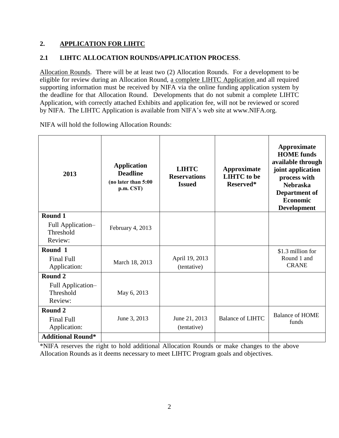## **2. APPLICATION FOR LIHTC**

## **2.1 LIHTC ALLOCATION ROUNDS/APPLICATION PROCESS**.

Allocation Rounds. There will be at least two (2) Allocation Rounds. For a development to be eligible for review during an Allocation Round, a complete LIHTC Application and all required supporting information must be received by NIFA via the online funding application system by the deadline for that Allocation Round. Developments that do not submit a complete LIHTC Application, with correctly attached Exhibits and application fee, will not be reviewed or scored by NIFA. The LIHTC Application is available from NIFA's web site at [www.NIFA.org.](http://www.nifa.org/)

| 2013                                                    | <b>Application</b><br><b>Deadline</b><br>(no later than 5:00<br>p.m. CST) | <b>LIHTC</b><br><b>Reservations</b><br><b>Issued</b> | Approximate<br><b>LIHTC</b> to be<br>Reserved* | Approximate<br><b>HOME</b> funds<br>available through<br>joint application<br>process with<br><b>Nebraska</b><br>Department of<br><b>Economic</b><br><b>Development</b> |
|---------------------------------------------------------|---------------------------------------------------------------------------|------------------------------------------------------|------------------------------------------------|-------------------------------------------------------------------------------------------------------------------------------------------------------------------------|
| Round 1<br>Full Application-<br>Threshold<br>Review:    | February 4, 2013                                                          |                                                      |                                                |                                                                                                                                                                         |
| Round 1<br><b>Final Full</b><br>Application:            | March 18, 2013                                                            | April 19, 2013<br>(tentative)                        |                                                | \$1.3 million for<br>Round 1 and<br><b>CRANE</b>                                                                                                                        |
| Round 2<br>Full Application-<br>Threshold<br>Review:    | May 6, 2013                                                               |                                                      |                                                |                                                                                                                                                                         |
| Round <sub>2</sub><br><b>Final Full</b><br>Application: | June 3, 2013                                                              | June 21, 2013<br>(tentative)                         | <b>Balance of LIHTC</b>                        | <b>Balance of HOME</b><br>funds                                                                                                                                         |
| <b>Additional Round*</b>                                |                                                                           |                                                      |                                                |                                                                                                                                                                         |

NIFA will hold the following Allocation Rounds:

\*NIFA reserves the right to hold additional Allocation Rounds or make changes to the above Allocation Rounds as it deems necessary to meet LIHTC Program goals and objectives.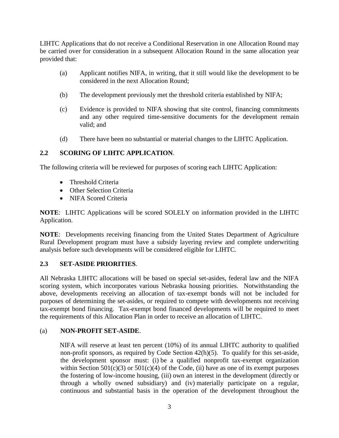LIHTC Applications that do not receive a Conditional Reservation in one Allocation Round may be carried over for consideration in a subsequent Allocation Round in the same allocation year provided that:

- (a) Applicant notifies NIFA, in writing, that it still would like the development to be considered in the next Allocation Round;
- (b) The development previously met the threshold criteria established by NIFA;
- (c) Evidence is provided to NIFA showing that site control, financing commitments and any other required time-sensitive documents for the development remain valid; and
- (d) There have been no substantial or material changes to the LIHTC Application.

### **2.2 SCORING OF LIHTC APPLICATION**.

The following criteria will be reviewed for purposes of scoring each LIHTC Application:

- Threshold Criteria
- Other Selection Criteria
- NIFA Scored Criteria

**NOTE**: LIHTC Applications will be scored SOLELY on information provided in the LIHTC Application.

**NOTE**: Developments receiving financing from the United States Department of Agriculture Rural Development program must have a subsidy layering review and complete underwriting analysis before such developments will be considered eligible for LIHTC.

#### **2.3 SET-ASIDE PRIORITIES**.

All Nebraska LIHTC allocations will be based on special set-asides, federal law and the NIFA scoring system, which incorporates various Nebraska housing priorities. Notwithstanding the above, developments receiving an allocation of tax-exempt bonds will not be included for purposes of determining the set-asides, or required to compete with developments not receiving tax-exempt bond financing. Tax-exempt bond financed developments will be required to meet the requirements of this Allocation Plan in order to receive an allocation of LIHTC.

#### (a) **NON-PROFIT SET-ASIDE**.

NIFA will reserve at least ten percent (10%) of its annual LIHTC authority to qualified non-profit sponsors, as required by Code Section 42(h)(5). To qualify for this set-aside, the development sponsor must: (i) be a qualified nonprofit tax-exempt organization within Section  $501(c)(3)$  or  $501(c)(4)$  of the Code, (ii) have as one of its exempt purposes the fostering of low-income housing, (iii) own an interest in the development (directly or through a wholly owned subsidiary) and (iv) materially participate on a regular, continuous and substantial basis in the operation of the development throughout the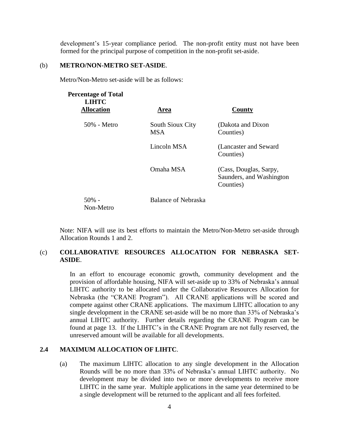development's 15-year compliance period. The non-profit entity must not have been formed for the principal purpose of competition in the non-profit set-aside.

#### (b) **METRO/NON-METRO SET-ASIDE**.

Metro/Non-Metro set-aside will be as follows:

| <b>Percentage of Total</b><br><b>LIHTC</b><br><b>Allocation</b> | Area                                  | County                                                          |
|-----------------------------------------------------------------|---------------------------------------|-----------------------------------------------------------------|
| 50% - Metro                                                     | <b>South Sioux City</b><br><b>MSA</b> | (Dakota and Dixon)<br>Counties)                                 |
|                                                                 | Lincoln MSA                           | (Lancaster and Seward<br>Counties)                              |
|                                                                 | Omaha MSA                             | (Cass, Douglas, Sarpy,<br>Saunders, and Washington<br>Counties) |
| $50\%$ -<br>Non-Metro                                           | <b>Balance of Nebraska</b>            |                                                                 |

Note: NIFA will use its best efforts to maintain the Metro/Non-Metro set-aside through Allocation Rounds 1 and 2.

#### (c) **COLLABORATIVE RESOURCES ALLOCATION FOR NEBRASKA SET-ASIDE**.

In an effort to encourage economic growth, community development and the provision of affordable housing, NIFA will set-aside up to 33% of Nebraska's annual LIHTC authority to be allocated under the Collaborative Resources Allocation for Nebraska (the "CRANE Program"). All CRANE applications will be scored and compete against other CRANE applications. The maximum LIHTC allocation to any single development in the CRANE set-aside will be no more than 33% of Nebraska's annual LIHTC authority. Further details regarding the CRANE Program can be found at page 13. If the LIHTC's in the CRANE Program are not fully reserved, the unreserved amount will be available for all developments.

#### **2.4 MAXIMUM ALLOCATION OF LIHTC**.

(a) The maximum LIHTC allocation to any single development in the Allocation Rounds will be no more than 33% of Nebraska's annual LIHTC authority. No development may be divided into two or more developments to receive more LIHTC in the same year. Multiple applications in the same year determined to be a single development will be returned to the applicant and all fees forfeited.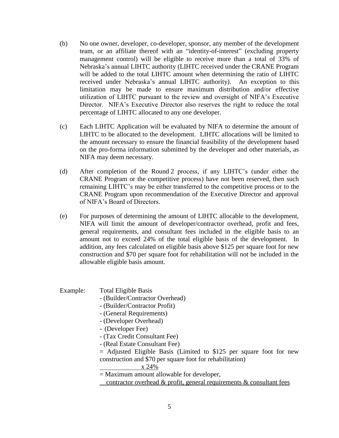- (b) No one owner, developer, co-developer, sponsor, any member of the development team, or an affiliate thereof with an "identity-of-interest" (excluding property management control) will be eligible to receive more than a total of 33% of Nebraska's annual LIHTC authority (LIHTC received under the CRANE Program will be added to the total LIHTC amount when determining the ratio of LIHTC received under Nebraska's annual LIHTC authority). An exception to this limitation may be made to ensure maximum distribution and/or effective utilization of LIHTC pursuant to the review and oversight of NIFA's Executive Director. NIFA's Executive Director also reserves the right to reduce the total percentage of LIHTC allocated to any one developer.
- (c) Each LIHTC Application will be evaluated by NIFA to determine the amount of LIHTC to be allocated to the development. LIHTC allocations will be limited to the amount necessary to ensure the financial feasibility of the development based on the pro-forma information submitted by the developer and other materials, as NIFA may deem necessary.
- (d) After completion of the Round 2 process, if any LIHTC's (under either the CRANE Program or the competitive process) have not been reserved, then such remaining LIHTC's may be either transferred to the competitive process or to the CRANE Program upon recommendation of the Executive Director and approval of NIFA's Board of Directors.
- (e) For purposes of determining the amount of LIHTC allocable to the development, NIFA will limit the amount of developer/contractor overhead, profit and fees, general requirements, and consultant fees included in the eligible basis to an amount not to exceed 24% of the total eligible basis of the development. In addition, any fees calculated on eligible basis above \$125 per square foot for new construction and \$70 per square foot for rehabilitation will not be included in the allowable eligible basis amount.

#### Example: Total Eligible Basis

- (Builder/Contractor Overhead)
- (Builder/Contractor Profit)
- (General Requirements)
- (Developer Overhead)
- (Developer Fee)
- (Tax Credit Consultant Fee)
- (Real Estate Consultant Fee)

 $=$  Adjusted Eligible Basis (Limited to \$125 per square foot for new construction and \$70 per square foot for rehabilitation)

x 24%

= Maximum amount allowable for developer,

contractor overhead  $&$  profit, general requirements  $&$  consultant fees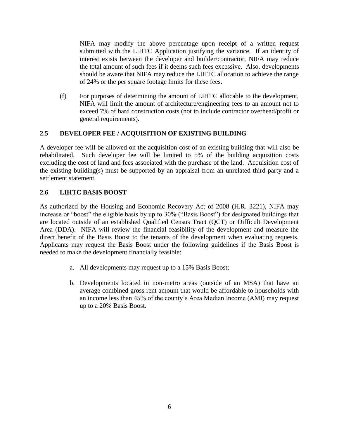NIFA may modify the above percentage upon receipt of a written request submitted with the LIHTC Application justifying the variance. If an identity of interest exists between the developer and builder/contractor, NIFA may reduce the total amount of such fees if it deems such fees excessive. Also, developments should be aware that NIFA may reduce the LIHTC allocation to achieve the range of 24% or the per square footage limits for these fees.

(f) For purposes of determining the amount of LIHTC allocable to the development, NIFA will limit the amount of architecture/engineering fees to an amount not to exceed 7% of hard construction costs (not to include contractor overhead/profit or general requirements).

#### **2.5 DEVELOPER FEE / ACQUISITION OF EXISTING BUILDING**

A developer fee will be allowed on the acquisition cost of an existing building that will also be rehabilitated. Such developer fee will be limited to 5% of the building acquisition costs excluding the cost of land and fees associated with the purchase of the land. Acquisition cost of the existing building(s) must be supported by an appraisal from an unrelated third party and a settlement statement.

### **2.6 LIHTC BASIS BOOST**

As authorized by the Housing and Economic Recovery Act of 2008 (H.R. 3221), NIFA may increase or "boost" the eligible basis by up to 30% ("Basis Boost") for designated buildings that are located outside of an established Qualified Census Tract (QCT) or Difficult Development Area (DDA). NIFA will review the financial feasibility of the development and measure the direct benefit of the Basis Boost to the tenants of the development when evaluating requests. Applicants may request the Basis Boost under the following guidelines if the Basis Boost is needed to make the development financially feasible:

- a. All developments may request up to a 15% Basis Boost;
- b. Developments located in non-metro areas (outside of an MSA) that have an average combined gross rent amount that would be affordable to households with an income less than 45% of the county's Area Median Income (AMI) may request up to a 20% Basis Boost.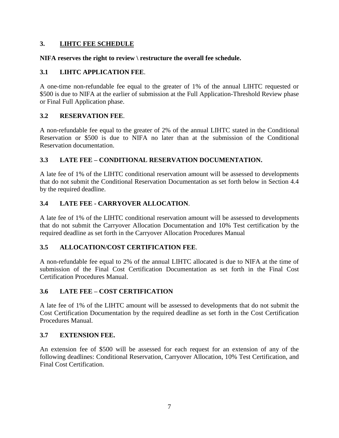#### **3. LIHTC FEE SCHEDULE**

#### **NIFA reserves the right to review \ restructure the overall fee schedule.**

#### **3.1 LIHTC APPLICATION FEE**.

A one-time non-refundable fee equal to the greater of 1% of the annual LIHTC requested or \$500 is due to NIFA at the earlier of submission at the Full Application-Threshold Review phase or Final Full Application phase.

#### **3.2 RESERVATION FEE**.

A non-refundable fee equal to the greater of 2% of the annual LIHTC stated in the Conditional Reservation or \$500 is due to NIFA no later than at the submission of the Conditional Reservation documentation.

### **3.3 LATE FEE – CONDITIONAL RESERVATION DOCUMENTATION.**

A late fee of 1% of the LIHTC conditional reservation amount will be assessed to developments that do not submit the Conditional Reservation Documentation as set forth below in Section 4.4 by the required deadline.

#### **3.4 LATE FEE - CARRYOVER ALLOCATION**.

A late fee of 1% of the LIHTC conditional reservation amount will be assessed to developments that do not submit the Carryover Allocation Documentation and 10% Test certification by the required deadline as set forth in the Carryover Allocation Procedures Manual

#### **3.5 ALLOCATION/COST CERTIFICATION FEE**.

A non-refundable fee equal to 2% of the annual LIHTC allocated is due to NIFA at the time of submission of the Final Cost Certification Documentation as set forth in the Final Cost Certification Procedures Manual.

#### **3.6 LATE FEE – COST CERTIFICATION**

A late fee of 1% of the LIHTC amount will be assessed to developments that do not submit the Cost Certification Documentation by the required deadline as set forth in the Cost Certification Procedures Manual.

#### **3.7 EXTENSION FEE.**

An extension fee of \$500 will be assessed for each request for an extension of any of the following deadlines: Conditional Reservation, Carryover Allocation, 10% Test Certification, and Final Cost Certification.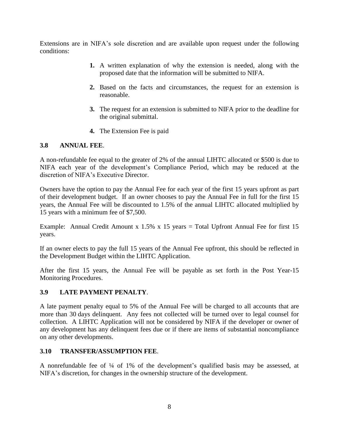Extensions are in NIFA's sole discretion and are available upon request under the following conditions:

- **1.** A written explanation of why the extension is needed, along with the proposed date that the information will be submitted to NIFA.
- **2.** Based on the facts and circumstances, the request for an extension is reasonable.
- **3.** The request for an extension is submitted to NIFA prior to the deadline for the original submittal.
- **4.** The Extension Fee is paid

#### **3.8 ANNUAL FEE**.

A non-refundable fee equal to the greater of 2% of the annual LIHTC allocated or \$500 is due to NIFA each year of the development's Compliance Period, which may be reduced at the discretion of NIFA's Executive Director.

Owners have the option to pay the Annual Fee for each year of the first 15 years upfront as part of their development budget. If an owner chooses to pay the Annual Fee in full for the first 15 years, the Annual Fee will be discounted to 1.5% of the annual LIHTC allocated multiplied by 15 years with a minimum fee of \$7,500.

Example: Annual Credit Amount x  $1.5\%$  x 15 years = Total Upfront Annual Fee for first 15 years.

If an owner elects to pay the full 15 years of the Annual Fee upfront, this should be reflected in the Development Budget within the LIHTC Application.

After the first 15 years, the Annual Fee will be payable as set forth in the Post Year-15 Monitoring Procedures.

#### **3.9 LATE PAYMENT PENALTY**.

A late payment penalty equal to 5% of the Annual Fee will be charged to all accounts that are more than 30 days delinquent. Any fees not collected will be turned over to legal counsel for collection. A LIHTC Application will not be considered by NIFA if the developer or owner of any development has any delinquent fees due or if there are items of substantial noncompliance on any other developments.

#### **3.10 TRANSFER/ASSUMPTION FEE**.

A nonrefundable fee of ¼ of 1% of the development's qualified basis may be assessed, at NIFA's discretion, for changes in the ownership structure of the development.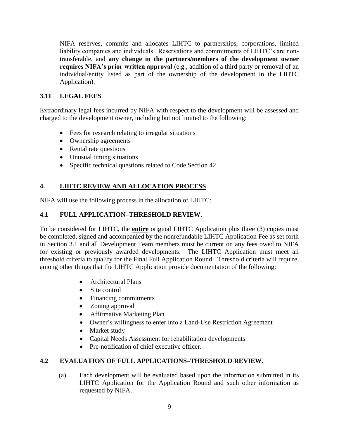NIFA reserves, commits and allocates LIHTC to partnerships, corporations, limited liability companies and individuals. Reservations and commitments of LIHTC's are nontransferable, and **any change in the partners/members of the development owner requires NIFA's prior written approval** (e.g., addition of a third party or removal of an individual/entity listed as part of the ownership of the development in the LIHTC Application).

## **3.11 LEGAL FEES**.

Extraordinary legal fees incurred by NIFA with respect to the development will be assessed and charged to the development owner, including but not limited to the following:

- Fees for research relating to irregular situations
- Ownership agreements
- Rental rate questions
- Unusual timing situations
- Specific technical questions related to Code Section 42

## **4. LIHTC REVIEW AND ALLOCATION PROCESS**

NIFA will use the following process in the allocation of LIHTC:

## **4.1 FULL APPLICATION–THRESHOLD REVIEW**.

To be considered for LIHTC, the **entire** original LIHTC Application plus three (3) copies must be completed, signed and accompanied by the nonrefundable LIHTC Application Fee as set forth in Section 3.1 and all Development Team members must be current on any fees owed to NIFA for existing or previously awarded developments. The LIHTC Application must meet all threshold criteria to qualify for the Final Full Application Round. Threshold criteria will require, among other things that the LIHTC Application provide documentation of the following:

- Architectural Plans
- Site control
- Financing commitments
- Zoning approval
- Affirmative Marketing Plan
- Owner's willingness to enter into a Land-Use Restriction Agreement
- Market study
- Capital Needs Assessment for rehabilitation developments
- Pre-notification of chief executive officer.

## **4.2 EVALUATION OF FULL APPLICATIONS–THRESHOLD REVIEW.**

(a) Each development will be evaluated based upon the information submitted in its LIHTC Application for the Application Round and such other information as requested by NIFA.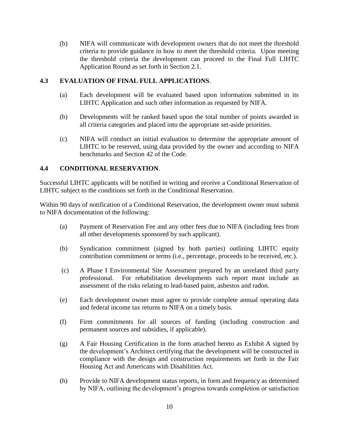(b) NIFA will communicate with development owners that do not meet the threshold criteria to provide guidance in how to meet the threshold criteria. Upon meeting the threshold criteria the development can proceed to the Final Full LIHTC Application Round as set forth in Section 2.1.

### **4.3 EVALUATION OF FINAL FULL APPLICATIONS**.

- (a) Each development will be evaluated based upon information submitted in its LIHTC Application and such other information as requested by NIFA.
- (b) Developments will be ranked based upon the total number of points awarded in all criteria categories and placed into the appropriate set-aside priorities.
- (c) NIFA will conduct an initial evaluation to determine the appropriate amount of LIHTC to be reserved, using data provided by the owner and according to NIFA benchmarks and Section 42 of the Code.

#### **4.4 CONDITIONAL RESERVATION**.

Successful LIHTC applicants will be notified in writing and receive a Conditional Reservation of LIHTC subject to the conditions set forth in the Conditional Reservation.

Within 90 days of notification of a Conditional Reservation, the development owner must submit to NIFA documentation of the following:

- (a) Payment of Reservation Fee and any other fees due to NIFA (including fees from all other developments sponsored by such applicant).
- (b) Syndication commitment (signed by both parties) outlining LIHTC equity contribution commitment or terms (i.e., percentage, proceeds to be received, etc.).
- (c) A Phase I Environmental Site Assessment prepared by an unrelated third party professional. For rehabilitation developments such report must include an assessment of the risks relating to lead-based paint, asbestos and radon.
- (e) Each development owner must agree to provide complete annual operating data and federal income tax returns to NIFA on a timely basis.
- (f) Firm commitments for all sources of funding (including construction and permanent sources and subsidies, if applicable).
- (g) A Fair Housing Certification in the form attached hereto as Exhibit A signed by the development's Architect certifying that the development will be constructed in compliance with the design and construction requirements set forth in the Fair Housing Act and Americans with Disabilities Act.
- (h) Provide to NIFA development status reports, in form and frequency as determined by NIFA, outlining the development's progress towards completion or satisfaction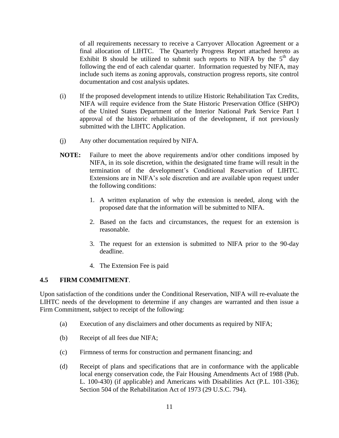of all requirements necessary to receive a Carryover Allocation Agreement or a final allocation of LIHTC. The Quarterly Progress Report attached hereto as Exhibit B should be utilized to submit such reports to NIFA by the  $5<sup>th</sup>$  day following the end of each calendar quarter. Information requested by NIFA, may include such items as zoning approvals, construction progress reports, site control documentation and cost analysis updates.

- (i) If the proposed development intends to utilize Historic Rehabilitation Tax Credits, NIFA will require evidence from the State Historic Preservation Office (SHPO) of the United States Department of the Interior National Park Service Part I approval of the historic rehabilitation of the development, if not previously submitted with the LIHTC Application.
- (j) Any other documentation required by NIFA.
- **NOTE:** Failure to meet the above requirements and/or other conditions imposed by NIFA, in its sole discretion, within the designated time frame will result in the termination of the development's Conditional Reservation of LIHTC. Extensions are in NIFA's sole discretion and are available upon request under the following conditions:
	- 1. A written explanation of why the extension is needed, along with the proposed date that the information will be submitted to NIFA.
	- 2. Based on the facts and circumstances, the request for an extension is reasonable.
	- 3. The request for an extension is submitted to NIFA prior to the 90-day deadline.
	- 4. The Extension Fee is paid

#### **4.5 FIRM COMMITMENT**.

Upon satisfaction of the conditions under the Conditional Reservation, NIFA will re-evaluate the LIHTC needs of the development to determine if any changes are warranted and then issue a Firm Commitment, subject to receipt of the following:

- (a) Execution of any disclaimers and other documents as required by NIFA;
- (b) Receipt of all fees due NIFA;
- (c) Firmness of terms for construction and permanent financing; and
- (d) Receipt of plans and specifications that are in conformance with the applicable local energy conservation code, the Fair Housing Amendments Act of 1988 (Pub. L. 100-430) (if applicable) and Americans with Disabilities Act (P.L. 101-336); Section 504 of the Rehabilitation Act of 1973 (29 U.S.C. 794).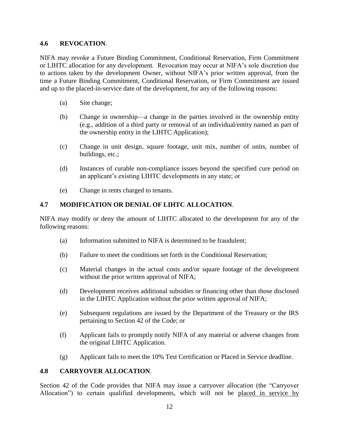#### **4.6 REVOCATION**.

NIFA may revoke a Future Binding Commitment, Conditional Reservation, Firm Commitment or LIHTC allocation for any development. Revocation may occur at NIFA's sole discretion due to actions taken by the development Owner, without NIFA's prior written approval, from the time a Future Binding Commitment, Conditional Reservation, or Firm Commitment are issued and up to the placed-in-service date of the development, for any of the following reasons:

- (a) Site change;
- (b) Change in ownership—a change in the parties involved in the ownership entity (e.g., addition of a third party or removal of an individual/entity named as part of the ownership entity in the LIHTC Application);
- (c) Change in unit design, square footage, unit mix, number of units, number of buildings, etc.;
- (d) Instances of curable non-compliance issues beyond the specified cure period on an applicant's existing LIHTC developments in any state; or
- (e) Change in rents charged to tenants.

#### **4.7 MODIFICATION OR DENIAL OF LIHTC ALLOCATION**.

NIFA may modify or deny the amount of LIHTC allocated to the development for any of the following reasons:

- (a) Information submitted to NIFA is determined to be fraudulent;
- (b) Failure to meet the conditions set forth in the Conditional Reservation;
- (c) Material changes in the actual costs and/or square footage of the development without the prior written approval of NIFA;
- (d) Development receives additional subsidies or financing other than those disclosed in the LIHTC Application without the prior written approval of NIFA;
- (e) Subsequent regulations are issued by the Department of the Treasury or the IRS pertaining to Section 42 of the Code; or
- (f) Applicant fails to promptly notify NIFA of any material or adverse changes from the original LIHTC Application.
- (g) Applicant fails to meet the 10% Test Certification or Placed in Service deadline.

#### **4.8 CARRYOVER ALLOCATION**.

Section 42 of the Code provides that NIFA may issue a carryover allocation (the "Carryover Allocation") to certain qualified developments, which will not be placed in service by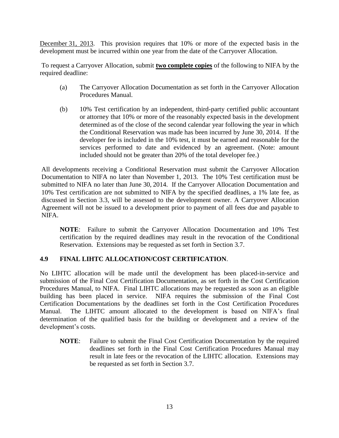December 31, 2013. This provision requires that 10% or more of the expected basis in the development must be incurred within one year from the date of the Carryover Allocation.

To request a Carryover Allocation, submit **two complete copies** of the following to NIFA by the required deadline:

- (a) The Carryover Allocation Documentation as set forth in the Carryover Allocation Procedures Manual.
- (b) 10% Test certification by an independent, third-party certified public accountant or attorney that 10% or more of the reasonably expected basis in the development determined as of the close of the second calendar year following the year in which the Conditional Reservation was made has been incurred by June 30, 2014. If the developer fee is included in the 10% test, it must be earned and reasonable for the services performed to date and evidenced by an agreement. (Note: amount included should not be greater than 20% of the total developer fee.)

All developments receiving a Conditional Reservation must submit the Carryover Allocation Documentation to NIFA no later than November 1, 2013. The 10% Test certification must be submitted to NIFA no later than June 30, 2014. If the Carryover Allocation Documentation and 10% Test certification are not submitted to NIFA by the specified deadlines, a 1% late fee, as discussed in Section 3.3, will be assessed to the development owner. A Carryover Allocation Agreement will not be issued to a development prior to payment of all fees due and payable to NIFA.

**NOTE**: Failure to submit the Carryover Allocation Documentation and 10% Test certification by the required deadlines may result in the revocation of the Conditional Reservation. Extensions may be requested as set forth in Section 3.7.

#### **4.9 FINAL LIHTC ALLOCATION/COST CERTIFICATION**.

No LIHTC allocation will be made until the development has been placed-in-service and submission of the Final Cost Certification Documentation, as set forth in the Cost Certification Procedures Manual, to NIFA. Final LIHTC allocations may be requested as soon as an eligible building has been placed in service. NIFA requires the submission of the Final Cost Certification Documentations by the deadlines set forth in the Cost Certification Procedures Manual. The LIHTC amount allocated to the development is based on NIFA's final determination of the qualified basis for the building or development and a review of the development's costs.

**NOTE**: Failure to submit the Final Cost Certification Documentation by the required deadlines set forth in the Final Cost Certification Procedures Manual may result in late fees or the revocation of the LIHTC allocation. Extensions may be requested as set forth in Section 3.7.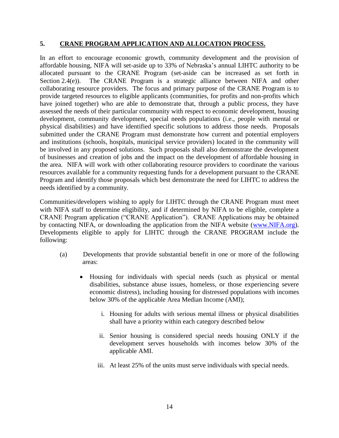#### **5. CRANE PROGRAM APPLICATION AND ALLOCATION PROCESS.**

In an effort to encourage economic growth, community development and the provision of affordable housing, NIFA will set-aside up to 33% of Nebraska's annual LIHTC authority to be allocated pursuant to the CRANE Program (set-aside can be increased as set forth in Section 2.4(e)). The CRANE Program is a strategic alliance between NIFA and other collaborating resource providers. The focus and primary purpose of the CRANE Program is to provide targeted resources to eligible applicants (communities, for profits and non-profits which have joined together) who are able to demonstrate that, through a public process, they have assessed the needs of their particular community with respect to economic development, housing development, community development, special needs populations (i.e., people with mental or physical disabilities) and have identified specific solutions to address those needs. Proposals submitted under the CRANE Program must demonstrate how current and potential employers and institutions (schools, hospitals, municipal service providers) located in the community will be involved in any proposed solutions. Such proposals shall also demonstrate the development of businesses and creation of jobs and the impact on the development of affordable housing in the area. NIFA will work with other collaborating resource providers to coordinate the various resources available for a community requesting funds for a development pursuant to the CRANE Program and identify those proposals which best demonstrate the need for LIHTC to address the needs identified by a community.

Communities/developers wishing to apply for LIHTC through the CRANE Program must meet with NIFA staff to determine eligibility, and if determined by NIFA to be eligible, complete a CRANE Program application ("CRANE Application"). CRANE Applications may be obtained by contacting NIFA, or downloading the application from the NIFA website [\(www.NIFA.org\)](http://www.nifa.org/). Developments eligible to apply for LIHTC through the CRANE PROGRAM include the following:

- (a) Developments that provide substantial benefit in one or more of the following areas:
	- Housing for individuals with special needs (such as physical or mental disabilities, substance abuse issues, homeless, or those experiencing severe economic distress), including housing for distressed populations with incomes below 30% of the applicable Area Median Income (AMI);
		- i. Housing for adults with serious mental illness or physical disabilities shall have a priority within each category described below
		- ii. Senior housing is considered special needs housing ONLY if the development serves households with incomes below 30% of the applicable AMI.
		- iii. At least 25% of the units must serve individuals with special needs.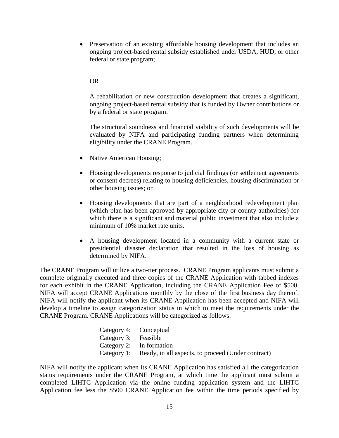Preservation of an existing affordable housing development that includes an ongoing project-based rental subsidy established under USDA, HUD, or other federal or state program;

#### OR

A rehabilitation or new construction development that creates a significant, ongoing project-based rental subsidy that is funded by Owner contributions or by a federal or state program.

The structural soundness and financial viability of such developments will be evaluated by NIFA and participating funding partners when determining eligibility under the CRANE Program.

- Native American Housing;
- Housing developments response to judicial findings (or settlement agreements or consent decrees) relating to housing deficiencies, housing discrimination or other housing issues; or
- Housing developments that are part of a neighborhood redevelopment plan (which plan has been approved by appropriate city or county authorities) for which there is a significant and material public investment that also include a minimum of 10% market rate units.
- A housing development located in a community with a current state or presidential disaster declaration that resulted in the loss of housing as determined by NIFA.

The CRANE Program will utilize a two-tier process. CRANE Program applicants must submit a complete originally executed and three copies of the CRANE Application with tabbed indexes for each exhibit in the CRANE Application, including the CRANE Application Fee of \$500. NIFA will accept CRANE Applications monthly by the close of the first business day thereof. NIFA will notify the applicant when its CRANE Application has been accepted and NIFA will develop a timeline to assign categorization status in which to meet the requirements under the CRANE Program. CRANE Applications will be categorized as follows:

|                      | Category 4: Conceptual                                         |
|----------------------|----------------------------------------------------------------|
| Category 3: Feasible |                                                                |
|                      | Category 2: In formation                                       |
|                      | Category 1: Ready, in all aspects, to proceed (Under contract) |

NIFA will notify the applicant when its CRANE Application has satisfied all the categorization status requirements under the CRANE Program, at which time the applicant must submit a completed LIHTC Application via the online funding application system and the LIHTC Application fee less the \$500 CRANE Application fee within the time periods specified by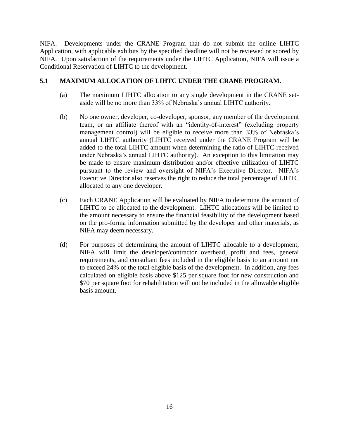NIFA. Developments under the CRANE Program that do not submit the online LIHTC Application, with applicable exhibits by the specified deadline will not be reviewed or scored by NIFA. Upon satisfaction of the requirements under the LIHTC Application, NIFA will issue a Conditional Reservation of LIHTC to the development.

#### **5.1 MAXIMUM ALLOCATION OF LIHTC UNDER THE CRANE PROGRAM**.

- (a) The maximum LIHTC allocation to any single development in the CRANE setaside will be no more than 33% of Nebraska's annual LIHTC authority.
- (b) No one owner, developer, co-developer, sponsor, any member of the development team, or an affiliate thereof with an "identity-of-interest" (excluding property management control) will be eligible to receive more than 33% of Nebraska's annual LIHTC authority (LIHTC received under the CRANE Program will be added to the total LIHTC amount when determining the ratio of LIHTC received under Nebraska's annual LIHTC authority). An exception to this limitation may be made to ensure maximum distribution and/or effective utilization of LIHTC pursuant to the review and oversight of NIFA's Executive Director. NIFA's Executive Director also reserves the right to reduce the total percentage of LIHTC allocated to any one developer.
- (c) Each CRANE Application will be evaluated by NIFA to determine the amount of LIHTC to be allocated to the development. LIHTC allocations will be limited to the amount necessary to ensure the financial feasibility of the development based on the pro-forma information submitted by the developer and other materials, as NIFA may deem necessary.
- (d) For purposes of determining the amount of LIHTC allocable to a development, NIFA will limit the developer/contractor overhead, profit and fees, general requirements, and consultant fees included in the eligible basis to an amount not to exceed 24% of the total eligible basis of the development. In addition, any fees calculated on eligible basis above \$125 per square foot for new construction and \$70 per square foot for rehabilitation will not be included in the allowable eligible basis amount.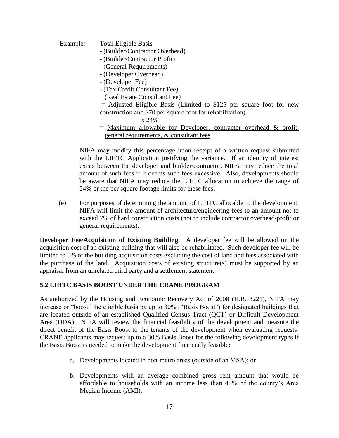- Example: Total Eligible Basis
	- (Builder/Contractor Overhead)
	- (Builder/Contractor Profit)
	- (General Requirements)
	- (Developer Overhead)
	- (Developer Fee)
	- (Tax Credit Consultant Fee)
	- (Real Estate Consultant Fee)

 $=$  Adjusted Eligible Basis (Limited to \$125 per square foot for new construction and \$70 per square foot for rehabilitation)

x 24%

#### $=$  Maximum allowable for Developer, contractor overhead  $\&$  profit, general requirements, & consultant fees

NIFA may modify this percentage upon receipt of a written request submitted with the LIHTC Application justifying the variance. If an identity of interest exists between the developer and builder/contractor, NIFA may reduce the total amount of such fees if it deems such fees excessive. Also, developments should be aware that NIFA may reduce the LIHTC allocation to achieve the range of 24% or the per square footage limits for these fees.

(e) For purposes of determining the amount of LIHTC allocable to the development, NIFA will limit the amount of architecture/engineering fees to an amount not to exceed 7% of hard construction costs (not to include contractor overhead/profit or general requirements).

**Developer Fee/Acquisition of Existing Building**. A developer fee will be allowed on the acquisition cost of an existing building that will also be rehabilitated. Such developer fee will be limited to 5% of the building acquisition costs excluding the cost of land and fees associated with the purchase of the land. Acquisition costs of existing structure(s) must be supported by an appraisal from an unrelated third party and a settlement statement.

#### **5.2 LIHTC BASIS BOOST UNDER THE CRANE PROGRAM**

As authorized by the Housing and Economic Recovery Act of 2008 (H.R. 3221), NIFA may increase or "boost" the eligible basis by up to 30% ("Basis Boost") for designated buildings that are located outside of an established Qualified Census Tract (QCT) or Difficult Development Area (DDA). NIFA will review the financial feasibility of the development and measure the direct benefit of the Basis Boost to the tenants of the development when evaluating requests. CRANE applicants may request up to a 30% Basis Boost for the following development types if the Basis Boost is needed to make the development financially feasible:

- a. Developments located in non-metro areas (outside of an MSA); or
- b. Developments with an average combined gross rent amount that would be affordable to households with an income less than 45% of the county's Area Median Income (AMI).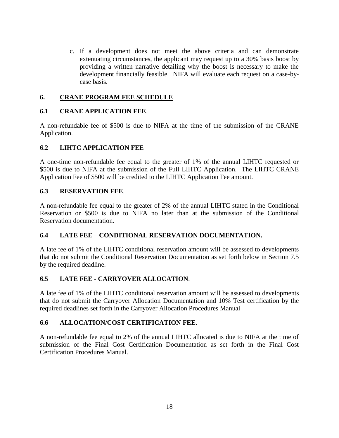c. If a development does not meet the above criteria and can demonstrate extenuating circumstances, the applicant may request up to a 30% basis boost by providing a written narrative detailing why the boost is necessary to make the development financially feasible. NIFA will evaluate each request on a case-bycase basis.

#### **6. CRANE PROGRAM FEE SCHEDULE**

### **6.1 CRANE APPLICATION FEE**.

A non-refundable fee of \$500 is due to NIFA at the time of the submission of the CRANE Application.

#### **6.2 LIHTC APPLICATION FEE**

A one-time non-refundable fee equal to the greater of 1% of the annual LIHTC requested or \$500 is due to NIFA at the submission of the Full LIHTC Application. The LIHTC CRANE Application Fee of \$500 will be credited to the LIHTC Application Fee amount.

#### **6.3 RESERVATION FEE**.

A non-refundable fee equal to the greater of 2% of the annual LIHTC stated in the Conditional Reservation or \$500 is due to NIFA no later than at the submission of the Conditional Reservation documentation.

#### **6.4 LATE FEE – CONDITIONAL RESERVATION DOCUMENTATION.**

A late fee of 1% of the LIHTC conditional reservation amount will be assessed to developments that do not submit the Conditional Reservation Documentation as set forth below in Section 7.5 by the required deadline.

## **6.5 LATE FEE - CARRYOVER ALLOCATION**.

A late fee of 1% of the LIHTC conditional reservation amount will be assessed to developments that do not submit the Carryover Allocation Documentation and 10% Test certification by the required deadlines set forth in the Carryover Allocation Procedures Manual

## **6.6 ALLOCATION/COST CERTIFICATION FEE**.

A non-refundable fee equal to 2% of the annual LIHTC allocated is due to NIFA at the time of submission of the Final Cost Certification Documentation as set forth in the Final Cost Certification Procedures Manual.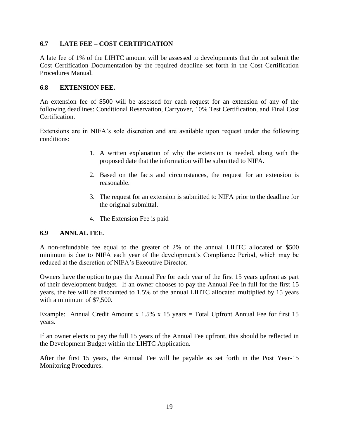### **6.7 LATE FEE – COST CERTIFICATION**

A late fee of 1% of the LIHTC amount will be assessed to developments that do not submit the Cost Certification Documentation by the required deadline set forth in the Cost Certification Procedures Manual.

#### **6.8 EXTENSION FEE.**

An extension fee of \$500 will be assessed for each request for an extension of any of the following deadlines: Conditional Reservation, Carryover, 10% Test Certification, and Final Cost Certification.

Extensions are in NIFA's sole discretion and are available upon request under the following conditions:

- 1. A written explanation of why the extension is needed, along with the proposed date that the information will be submitted to NIFA.
- 2. Based on the facts and circumstances, the request for an extension is reasonable.
- 3. The request for an extension is submitted to NIFA prior to the deadline for the original submittal.
- 4. The Extension Fee is paid

#### **6.9 ANNUAL FEE**.

A non-refundable fee equal to the greater of 2% of the annual LIHTC allocated or \$500 minimum is due to NIFA each year of the development's Compliance Period, which may be reduced at the discretion of NIFA's Executive Director.

Owners have the option to pay the Annual Fee for each year of the first 15 years upfront as part of their development budget. If an owner chooses to pay the Annual Fee in full for the first 15 years, the fee will be discounted to 1.5% of the annual LIHTC allocated multiplied by 15 years with a minimum of \$7,500.

Example: Annual Credit Amount x  $1.5\%$  x 15 years = Total Upfront Annual Fee for first 15 years.

If an owner elects to pay the full 15 years of the Annual Fee upfront, this should be reflected in the Development Budget within the LIHTC Application.

After the first 15 years, the Annual Fee will be payable as set forth in the Post Year-15 Monitoring Procedures.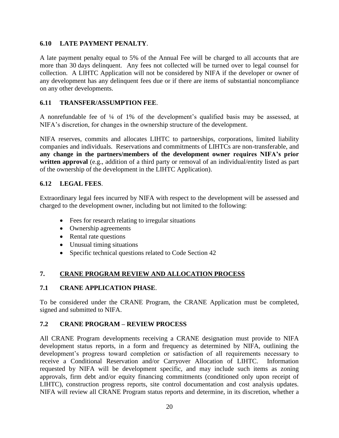#### **6.10 LATE PAYMENT PENALTY**.

A late payment penalty equal to 5% of the Annual Fee will be charged to all accounts that are more than 30 days delinquent. Any fees not collected will be turned over to legal counsel for collection. A LIHTC Application will not be considered by NIFA if the developer or owner of any development has any delinquent fees due or if there are items of substantial noncompliance on any other developments.

#### **6.11 TRANSFER/ASSUMPTION FEE**.

A nonrefundable fee of ¼ of 1% of the development's qualified basis may be assessed, at NIFA's discretion, for changes in the ownership structure of the development.

NIFA reserves, commits and allocates LIHTC to partnerships, corporations, limited liability companies and individuals. Reservations and commitments of LIHTCs are non-transferable, and **any change in the partners/members of the development owner requires NIFA's prior written approval** (e.g., addition of a third party or removal of an individual/entity listed as part of the ownership of the development in the LIHTC Application).

#### **6.12 LEGAL FEES**.

Extraordinary legal fees incurred by NIFA with respect to the development will be assessed and charged to the development owner, including but not limited to the following:

- Fees for research relating to irregular situations
- Ownership agreements
- Rental rate questions
- Unusual timing situations
- Specific technical questions related to Code Section 42

#### **7. CRANE PROGRAM REVIEW AND ALLOCATION PROCESS**

#### **7.1 CRANE APPLICATION PHASE**.

To be considered under the CRANE Program, the CRANE Application must be completed, signed and submitted to NIFA.

#### **7.2 CRANE PROGRAM – REVIEW PROCESS**

All CRANE Program developments receiving a CRANE designation must provide to NIFA development status reports, in a form and frequency as determined by NIFA, outlining the development's progress toward completion or satisfaction of all requirements necessary to receive a Conditional Reservation and/or Carryover Allocation of LIHTC. Information requested by NIFA will be development specific, and may include such items as zoning approvals, firm debt and/or equity financing commitments (conditioned only upon receipt of LIHTC), construction progress reports, site control documentation and cost analysis updates. NIFA will review all CRANE Program status reports and determine, in its discretion, whether a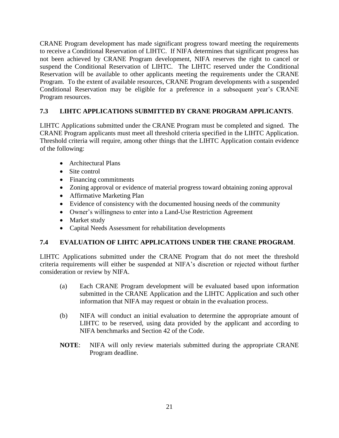CRANE Program development has made significant progress toward meeting the requirements to receive a Conditional Reservation of LIHTC. If NIFA determines that significant progress has not been achieved by CRANE Program development, NIFA reserves the right to cancel or suspend the Conditional Reservation of LIHTC. The LIHTC reserved under the Conditional Reservation will be available to other applicants meeting the requirements under the CRANE Program. To the extent of available resources, CRANE Program developments with a suspended Conditional Reservation may be eligible for a preference in a subsequent year's CRANE Program resources.

## **7.3 LIHTC APPLICATIONS SUBMITTED BY CRANE PROGRAM APPLICANTS**.

LIHTC Applications submitted under the CRANE Program must be completed and signed. The CRANE Program applicants must meet all threshold criteria specified in the LIHTC Application. Threshold criteria will require, among other things that the LIHTC Application contain evidence of the following:

- Architectural Plans
- Site control
- Financing commitments
- Zoning approval or evidence of material progress toward obtaining zoning approval
- Affirmative Marketing Plan
- Evidence of consistency with the documented housing needs of the community
- Owner's willingness to enter into a Land-Use Restriction Agreement
- Market study
- Capital Needs Assessment for rehabilitation developments

#### **7.4 EVALUATION OF LIHTC APPLICATIONS UNDER THE CRANE PROGRAM**.

LIHTC Applications submitted under the CRANE Program that do not meet the threshold criteria requirements will either be suspended at NIFA's discretion or rejected without further consideration or review by NIFA.

- (a) Each CRANE Program development will be evaluated based upon information submitted in the CRANE Application and the LIHTC Application and such other information that NIFA may request or obtain in the evaluation process.
- (b) NIFA will conduct an initial evaluation to determine the appropriate amount of LIHTC to be reserved, using data provided by the applicant and according to NIFA benchmarks and Section 42 of the Code.
- **NOTE**: NIFA will only review materials submitted during the appropriate CRANE Program deadline.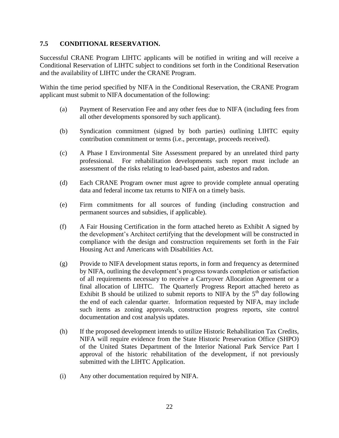#### **7.5 CONDITIONAL RESERVATION.**

Successful CRANE Program LIHTC applicants will be notified in writing and will receive a Conditional Reservation of LIHTC subject to conditions set forth in the Conditional Reservation and the availability of LIHTC under the CRANE Program.

Within the time period specified by NIFA in the Conditional Reservation, the CRANE Program applicant must submit to NIFA documentation of the following:

- (a) Payment of Reservation Fee and any other fees due to NIFA (including fees from all other developments sponsored by such applicant).
- (b) Syndication commitment (signed by both parties) outlining LIHTC equity contribution commitment or terms (i.e., percentage, proceeds received).
- (c) A Phase I Environmental Site Assessment prepared by an unrelated third party professional. For rehabilitation developments such report must include an assessment of the risks relating to lead-based paint, asbestos and radon.
- (d) Each CRANE Program owner must agree to provide complete annual operating data and federal income tax returns to NIFA on a timely basis.
- (e) Firm commitments for all sources of funding (including construction and permanent sources and subsidies, if applicable).
- (f) A Fair Housing Certification in the form attached hereto as Exhibit A signed by the development's Architect certifying that the development will be constructed in compliance with the design and construction requirements set forth in the Fair Housing Act and Americans with Disabilities Act.
- (g) Provide to NIFA development status reports, in form and frequency as determined by NIFA, outlining the development's progress towards completion or satisfaction of all requirements necessary to receive a Carryover Allocation Agreement or a final allocation of LIHTC. The Quarterly Progress Report attached hereto as Exhibit B should be utilized to submit reports to NIFA by the  $5<sup>th</sup>$  day following the end of each calendar quarter. Information requested by NIFA, may include such items as zoning approvals, construction progress reports, site control documentation and cost analysis updates.
- (h) If the proposed development intends to utilize Historic Rehabilitation Tax Credits, NIFA will require evidence from the State Historic Preservation Office (SHPO) of the United States Department of the Interior National Park Service Part I approval of the historic rehabilitation of the development, if not previously submitted with the LIHTC Application.
- (i) Any other documentation required by NIFA.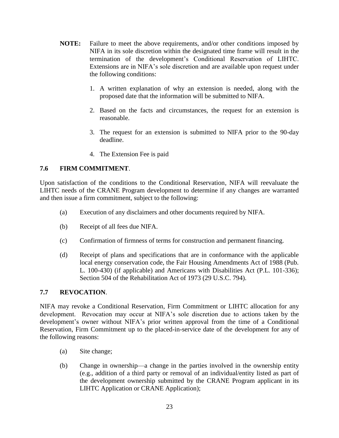- **NOTE:** Failure to meet the above requirements, and/or other conditions imposed by NIFA in its sole discretion within the designated time frame will result in the termination of the development's Conditional Reservation of LIHTC. Extensions are in NIFA's sole discretion and are available upon request under the following conditions:
	- 1. A written explanation of why an extension is needed, along with the proposed date that the information will be submitted to NIFA.
	- 2. Based on the facts and circumstances, the request for an extension is reasonable.
	- 3. The request for an extension is submitted to NIFA prior to the 90-day deadline.
	- 4. The Extension Fee is paid

#### **7.6 FIRM COMMITMENT**.

Upon satisfaction of the conditions to the Conditional Reservation, NIFA will reevaluate the LIHTC needs of the CRANE Program development to determine if any changes are warranted and then issue a firm commitment, subject to the following:

- (a) Execution of any disclaimers and other documents required by NIFA.
- (b) Receipt of all fees due NIFA.
- (c) Confirmation of firmness of terms for construction and permanent financing.
- (d) Receipt of plans and specifications that are in conformance with the applicable local energy conservation code, the Fair Housing Amendments Act of 1988 (Pub. L. 100-430) (if applicable) and Americans with Disabilities Act (P.L. 101-336); Section 504 of the Rehabilitation Act of 1973 (29 U.S.C. 794).

#### **7.7 REVOCATION**.

NIFA may revoke a Conditional Reservation, Firm Commitment or LIHTC allocation for any development. Revocation may occur at NIFA's sole discretion due to actions taken by the development's owner without NIFA's prior written approval from the time of a Conditional Reservation, Firm Commitment up to the placed-in-service date of the development for any of the following reasons:

- (a) Site change;
- (b) Change in ownership—a change in the parties involved in the ownership entity (e.g., addition of a third party or removal of an individual/entity listed as part of the development ownership submitted by the CRANE Program applicant in its LIHTC Application or CRANE Application);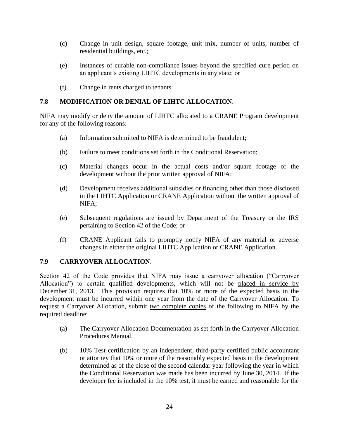- (c) Change in unit design, square footage, unit mix, number of units, number of residential buildings, etc.;
- (e) Instances of curable non-compliance issues beyond the specified cure period on an applicant's existing LIHTC developments in any state; or
- (f) Change in rents charged to tenants.

#### **7.8 MODIFICATION OR DENIAL OF LIHTC ALLOCATION**.

NIFA may modify or deny the amount of LIHTC allocated to a CRANE Program development for any of the following reasons:

- (a) Information submitted to NIFA is determined to be fraudulent;
- (b) Failure to meet conditions set forth in the Conditional Reservation;
- (c) Material changes occur in the actual costs and/or square footage of the development without the prior written approval of NIFA;
- (d) Development receives additional subsidies or financing other than those disclosed in the LIHTC Application or CRANE Application without the written approval of NIFA;
- (e) Subsequent regulations are issued by Department of the Treasury or the IRS pertaining to Section 42 of the Code; or
- (f) CRANE Applicant fails to promptly notify NIFA of any material or adverse changes in either the original LIHTC Application or CRANE Application.

#### **7.9 CARRYOVER ALLOCATION**.

Section 42 of the Code provides that NIFA may issue a carryover allocation ("Carryover Allocation") to certain qualified developments, which will not be placed in service by December 31, 2013. This provision requires that 10% or more of the expected basis in the development must be incurred within one year from the date of the Carryover Allocation. To request a Carryover Allocation, submit two complete copies of the following to NIFA by the required deadline:

- (a) The Carryover Allocation Documentation as set forth in the Carryover Allocation Procedures Manual.
- (b) 10% Test certification by an independent, third-party certified public accountant or attorney that 10% or more of the reasonably expected basis in the development determined as of the close of the second calendar year following the year in which the Conditional Reservation was made has been incurred by June 30, 2014. If the developer fee is included in the 10% test, it must be earned and reasonable for the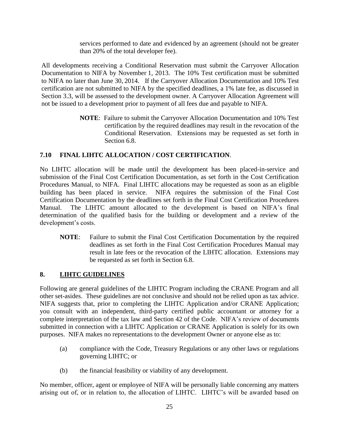services performed to date and evidenced by an agreement (should not be greater than 20% of the total developer fee).

All developments receiving a Conditional Reservation must submit the Carryover Allocation Documentation to NIFA by November 1, 2013. The 10% Test certification must be submitted to NIFA no later than June 30, 2014. If the Carryover Allocation Documentation and 10% Test certification are not submitted to NIFA by the specified deadlines, a 1% late fee, as discussed in Section 3.3, will be assessed to the development owner. A Carryover Allocation Agreement will not be issued to a development prior to payment of all fees due and payable to NIFA.

> **NOTE**: Failure to submit the Carryover Allocation Documentation and 10% Test certification by the required deadlines may result in the revocation of the Conditional Reservation. Extensions may be requested as set forth in Section 6.8.

#### **7.10 FINAL LIHTC ALLOCATION / COST CERTIFICATION**.

No LIHTC allocation will be made until the development has been placed-in-service and submission of the Final Cost Certification Documentation, as set forth in the Cost Certification Procedures Manual, to NIFA. Final LIHTC allocations may be requested as soon as an eligible building has been placed in service. NIFA requires the submission of the Final Cost Certification Documentation by the deadlines set forth in the Final Cost Certification Procedures Manual. The LIHTC amount allocated to the development is based on NIFA's final determination of the qualified basis for the building or development and a review of the development's costs.

**NOTE**: Failure to submit the Final Cost Certification Documentation by the required deadlines as set forth in the Final Cost Certification Procedures Manual may result in late fees or the revocation of the LIHTC allocation. Extensions may be requested as set forth in Section 6.8.

#### **8. LIHTC GUIDELINES**

Following are general guidelines of the LIHTC Program including the CRANE Program and all other set-asides. These guidelines are not conclusive and should not be relied upon as tax advice. NIFA suggests that, prior to completing the LIHTC Application and/or CRANE Application; you consult with an independent, third-party certified public accountant or attorney for a complete interpretation of the tax law and Section 42 of the Code. NIFA's review of documents submitted in connection with a LIHTC Application or CRANE Application is solely for its own purposes. NIFA makes no representations to the development Owner or anyone else as to:

- (a) compliance with the Code, Treasury Regulations or any other laws or regulations governing LIHTC; or
- (b) the financial feasibility or viability of any development.

No member, officer, agent or employee of NIFA will be personally liable concerning any matters arising out of, or in relation to, the allocation of LIHTC. LIHTC's will be awarded based on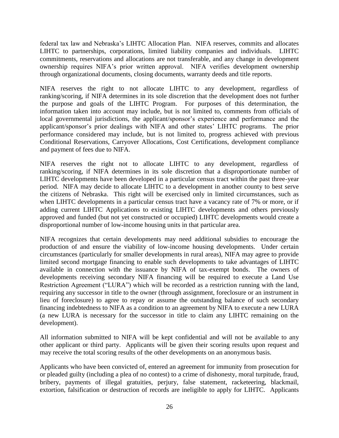federal tax law and Nebraska's LIHTC Allocation Plan. NIFA reserves, commits and allocates LIHTC to partnerships, corporations, limited liability companies and individuals. LIHTC commitments, reservations and allocations are not transferable, and any change in development ownership requires NIFA's prior written approval. NIFA verifies development ownership through organizational documents, closing documents, warranty deeds and title reports.

NIFA reserves the right to not allocate LIHTC to any development, regardless of ranking/scoring, if NIFA determines in its sole discretion that the development does not further the purpose and goals of the LIHTC Program. For purposes of this determination, the information taken into account may include, but is not limited to, comments from officials of local governmental jurisdictions, the applicant/sponsor's experience and performance and the applicant/sponsor's prior dealings with NIFA and other states' LIHTC programs. The prior performance considered may include, but is not limited to, progress achieved with previous Conditional Reservations, Carryover Allocations, Cost Certifications, development compliance and payment of fees due to NIFA.

NIFA reserves the right not to allocate LIHTC to any development, regardless of ranking/scoring, if NIFA determines in its sole discretion that a disproportionate number of LIHTC developments have been developed in a particular census tract within the past three-year period. NIFA may decide to allocate LIHTC to a development in another county to best serve the citizens of Nebraska. This right will be exercised only in limited circumstances, such as when LIHTC developments in a particular census tract have a vacancy rate of 7% or more, or if adding current LIHTC Applications to existing LIHTC developments and others previously approved and funded (but not yet constructed or occupied) LIHTC developments would create a disproportional number of low-income housing units in that particular area.

NIFA recognizes that certain developments may need additional subsidies to encourage the production of and ensure the viability of low-income housing developments. Under certain circumstances (particularly for smaller developments in rural areas), NIFA may agree to provide limited second mortgage financing to enable such developments to take advantages of LIHTC available in connection with the issuance by NIFA of tax-exempt bonds. The owners of developments receiving secondary NIFA financing will be required to execute a Land Use Restriction Agreement ("LURA") which will be recorded as a restriction running with the land, requiring any successor in title to the owner (through assignment, foreclosure or an instrument in lieu of foreclosure) to agree to repay or assume the outstanding balance of such secondary financing indebtedness to NIFA as a condition to an agreement by NIFA to execute a new LURA (a new LURA is necessary for the successor in title to claim any LIHTC remaining on the development).

All information submitted to NIFA will be kept confidential and will not be available to any other applicant or third party. Applicants will be given their scoring results upon request and may receive the total scoring results of the other developments on an anonymous basis.

Applicants who have been convicted of, entered an agreement for immunity from prosecution for or pleaded guilty (including a plea of no contest) to a crime of dishonesty, moral turpitude, fraud, bribery, payments of illegal gratuities, perjury, false statement, racketeering, blackmail, extortion, falsification or destruction of records are ineligible to apply for LIHTC. Applicants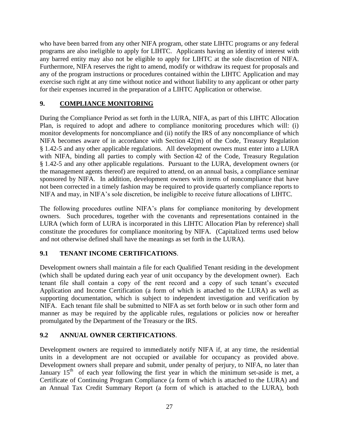who have been barred from any other NIFA program, other state LIHTC programs or any federal programs are also ineligible to apply for LIHTC. Applicants having an identity of interest with any barred entity may also not be eligible to apply for LIHTC at the sole discretion of NIFA. Furthermore, NIFA reserves the right to amend, modify or withdraw its request for proposals and any of the program instructions or procedures contained within the LIHTC Application and may exercise such right at any time without notice and without liability to any applicant or other party for their expenses incurred in the preparation of a LIHTC Application or otherwise.

## **9. COMPLIANCE MONITORING**

During the Compliance Period as set forth in the LURA, NIFA, as part of this LIHTC Allocation Plan, is required to adopt and adhere to compliance monitoring procedures which will: (i) monitor developments for noncompliance and (ii) notify the IRS of any noncompliance of which NIFA becomes aware of in accordance with Section 42(m) of the Code, Treasury Regulation § 1.42-5 and any other applicable regulations. All development owners must enter into a LURA with NIFA, binding all parties to comply with Section 42 of the Code, Treasury Regulation § 1.42-5 and any other applicable regulations. Pursuant to the LURA, development owners (or the management agents thereof) are required to attend, on an annual basis, a compliance seminar sponsored by NIFA. In addition, development owners with items of noncompliance that have not been corrected in a timely fashion may be required to provide quarterly compliance reports to NIFA and may, in NIFA's sole discretion, be ineligible to receive future allocations of LIHTC.

The following procedures outline NIFA's plans for compliance monitoring by development owners. Such procedures, together with the covenants and representations contained in the LURA (which form of LURA is incorporated in this LIHTC Allocation Plan by reference) shall constitute the procedures for compliance monitoring by NIFA. (Capitalized terms used below and not otherwise defined shall have the meanings as set forth in the LURA).

## **9.1 TENANT INCOME CERTIFICATIONS**.

Development owners shall maintain a file for each Qualified Tenant residing in the development (which shall be updated during each year of unit occupancy by the development owner). Each tenant file shall contain a copy of the rent record and a copy of such tenant's executed Application and Income Certification (a form of which is attached to the LURA) as well as supporting documentation, which is subject to independent investigation and verification by NIFA. Each tenant file shall be submitted to NIFA as set forth below or in such other form and manner as may be required by the applicable rules, regulations or policies now or hereafter promulgated by the Department of the Treasury or the IRS.

#### **9.2 ANNUAL OWNER CERTIFICATIONS**.

Development owners are required to immediately notify NIFA if, at any time, the residential units in a development are not occupied or available for occupancy as provided above. Development owners shall prepare and submit, under penalty of perjury, to NIFA, no later than January  $15<sup>th</sup>$  of each year following the first year in which the minimum set-aside is met, a Certificate of Continuing Program Compliance (a form of which is attached to the LURA) and an Annual Tax Credit Summary Report (a form of which is attached to the LURA), both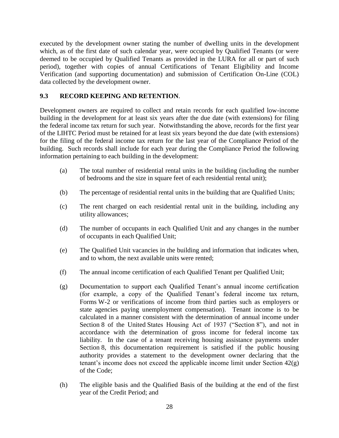executed by the development owner stating the number of dwelling units in the development which, as of the first date of such calendar year, were occupied by Qualified Tenants (or were deemed to be occupied by Qualified Tenants as provided in the LURA for all or part of such period), together with copies of annual Certifications of Tenant Eligibility and Income Verification (and supporting documentation) and submission of Certification On-Line (COL) data collected by the development owner.

### **9.3 RECORD KEEPING AND RETENTION**.

Development owners are required to collect and retain records for each qualified low-income building in the development for at least six years after the due date (with extensions) for filing the federal income tax return for such year. Notwithstanding the above, records for the first year of the LIHTC Period must be retained for at least six years beyond the due date (with extensions) for the filing of the federal income tax return for the last year of the Compliance Period of the building. Such records shall include for each year during the Compliance Period the following information pertaining to each building in the development:

- (a) The total number of residential rental units in the building (including the number of bedrooms and the size in square feet of each residential rental unit);
- (b) The percentage of residential rental units in the building that are Qualified Units;
- (c) The rent charged on each residential rental unit in the building, including any utility allowances;
- (d) The number of occupants in each Qualified Unit and any changes in the number of occupants in each Qualified Unit;
- (e) The Qualified Unit vacancies in the building and information that indicates when, and to whom, the next available units were rented;
- (f) The annual income certification of each Qualified Tenant per Qualified Unit;
- (g) Documentation to support each Qualified Tenant's annual income certification (for example, a copy of the Qualified Tenant's federal income tax return, Forms W-2 or verifications of income from third parties such as employers or state agencies paying unemployment compensation). Tenant income is to be calculated in a manner consistent with the determination of annual income under Section 8 of the United States Housing Act of 1937 ("Section 8"), and not in accordance with the determination of gross income for federal income tax liability. In the case of a tenant receiving housing assistance payments under Section 8, this documentation requirement is satisfied if the public housing authority provides a statement to the development owner declaring that the tenant's income does not exceed the applicable income limit under Section 42(g) of the Code;
- (h) The eligible basis and the Qualified Basis of the building at the end of the first year of the Credit Period; and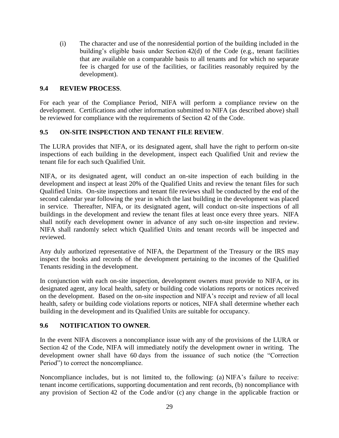(i) The character and use of the nonresidential portion of the building included in the building's eligible basis under Section 42(d) of the Code (e.g., tenant facilities that are available on a comparable basis to all tenants and for which no separate fee is charged for use of the facilities, or facilities reasonably required by the development).

#### **9.4 REVIEW PROCESS**.

For each year of the Compliance Period, NIFA will perform a compliance review on the development. Certifications and other information submitted to NIFA (as described above) shall be reviewed for compliance with the requirements of Section 42 of the Code.

#### **9.5 ON-SITE INSPECTION AND TENANT FILE REVIEW**.

The LURA provides that NIFA, or its designated agent, shall have the right to perform on-site inspections of each building in the development, inspect each Qualified Unit and review the tenant file for each such Qualified Unit.

NIFA, or its designated agent, will conduct an on-site inspection of each building in the development and inspect at least 20% of the Qualified Units and review the tenant files for such Qualified Units. On-site inspections and tenant file reviews shall be conducted by the end of the second calendar year following the year in which the last building in the development was placed in service. Thereafter, NIFA, or its designated agent, will conduct on-site inspections of all buildings in the development and review the tenant files at least once every three years. NIFA shall notify each development owner in advance of any such on-site inspection and review. NIFA shall randomly select which Qualified Units and tenant records will be inspected and reviewed.

Any duly authorized representative of NIFA, the Department of the Treasury or the IRS may inspect the books and records of the development pertaining to the incomes of the Qualified Tenants residing in the development.

In conjunction with each on-site inspection, development owners must provide to NIFA, or its designated agent, any local health, safety or building code violations reports or notices received on the development. Based on the on-site inspection and NIFA's receipt and review of all local health, safety or building code violations reports or notices, NIFA shall determine whether each building in the development and its Qualified Units are suitable for occupancy.

#### **9.6 NOTIFICATION TO OWNER**.

In the event NIFA discovers a noncompliance issue with any of the provisions of the LURA or Section 42 of the Code, NIFA will immediately notify the development owner in writing. The development owner shall have 60 days from the issuance of such notice (the "Correction Period") to correct the noncompliance.

Noncompliance includes, but is not limited to, the following: (a) NIFA's failure to receive: tenant income certifications, supporting documentation and rent records, (b) noncompliance with any provision of Section 42 of the Code and/or (c) any change in the applicable fraction or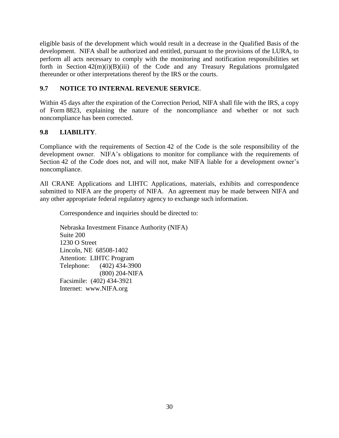eligible basis of the development which would result in a decrease in the Qualified Basis of the development. NIFA shall be authorized and entitled, pursuant to the provisions of the LURA, to perform all acts necessary to comply with the monitoring and notification responsibilities set forth in Section  $42(m)(i)(B)(iii)$  of the Code and any Treasury Regulations promulgated thereunder or other interpretations thereof by the IRS or the courts.

## **9.7 NOTICE TO INTERNAL REVENUE SERVICE**.

Within 45 days after the expiration of the Correction Period, NIFA shall file with the IRS, a copy of Form 8823, explaining the nature of the noncompliance and whether or not such noncompliance has been corrected.

#### **9.8 LIABILITY**.

Compliance with the requirements of Section 42 of the Code is the sole responsibility of the development owner. NIFA's obligations to monitor for compliance with the requirements of Section 42 of the Code does not, and will not, make NIFA liable for a development owner's noncompliance.

All CRANE Applications and LIHTC Applications, materials, exhibits and correspondence submitted to NIFA are the property of NIFA. An agreement may be made between NIFA and any other appropriate federal regulatory agency to exchange such information.

Correspondence and inquiries should be directed to:

Nebraska Investment Finance Authority (NIFA) Suite 200 1230 O Street Lincoln, NE 68508-1402 Attention: LIHTC Program Telephone: (402) 434-3900 (800) 204-NIFA Facsimile: (402) 434-3921 Internet: [www.NIFA.org](http://www.nifa.org/)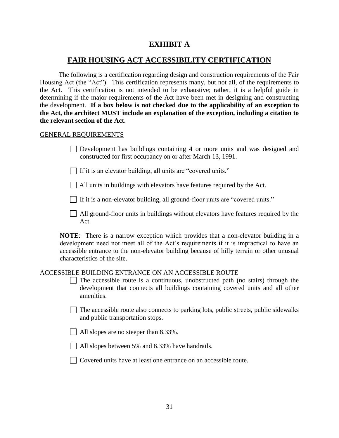## **EXHIBIT A**

## **FAIR HOUSING ACT ACCESSIBILITY CERTIFICATION**

The following is a certification regarding design and construction requirements of the Fair Housing Act (the "Act"). This certification represents many, but not all, of the requirements to the Act. This certification is not intended to be exhaustive; rather, it is a helpful guide in determining if the major requirements of the Act have been met in designing and constructing the development. **If a box below is not checked due to the applicability of an exception to the Act, the architect MUST include an explanation of the exception, including a citation to the relevant section of the Act.**

#### GENERAL REQUIREMENTS

Development has buildings containing 4 or more units and was designed and constructed for first occupancy on or after March 13, 1991.

 $\Box$  If it is an elevator building, all units are "covered units."

All units in buildings with elevators have features required by the Act.

If it is a non-elevator building, all ground-floor units are "covered units."

All ground-floor units in buildings without elevators have features required by the Act.

**NOTE**: There is a narrow exception which provides that a non-elevator building in a development need not meet all of the Act's requirements if it is impractical to have an accessible entrance to the non-elevator building because of hilly terrain or other unusual characteristics of the site.

#### ACCESSIBLE BUILDING ENTRANCE ON AN ACCESSIBLE ROUTE

- $\Box$  The accessible route is a continuous, unobstructed path (no stairs) through the development that connects all buildings containing covered units and all other amenities.
- $\Box$  The accessible route also connects to parking lots, public streets, public sidewalks and public transportation stops.
- $\Box$  All slopes are no steeper than 8.33%.
- All slopes between 5% and 8.33% have handrails.
- Covered units have at least one entrance on an accessible route.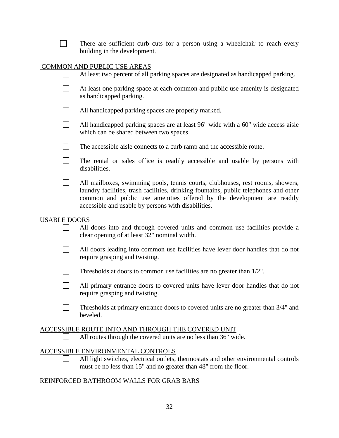|                             | There are sufficient curb cuts for a person using a wheelchair to reach every<br>building in the development.                                                                                                                                                                                            |  |  |  |  |  |  |
|-----------------------------|----------------------------------------------------------------------------------------------------------------------------------------------------------------------------------------------------------------------------------------------------------------------------------------------------------|--|--|--|--|--|--|
| COMMON AND PUBLIC USE AREAS |                                                                                                                                                                                                                                                                                                          |  |  |  |  |  |  |
|                             | At least two percent of all parking spaces are designated as handicapped parking.                                                                                                                                                                                                                        |  |  |  |  |  |  |
|                             | At least one parking space at each common and public use amenity is designated<br>as handicapped parking.                                                                                                                                                                                                |  |  |  |  |  |  |
|                             | All handicapped parking spaces are properly marked.                                                                                                                                                                                                                                                      |  |  |  |  |  |  |
|                             | All handicapped parking spaces are at least 96" wide with a 60" wide access aisle<br>which can be shared between two spaces.                                                                                                                                                                             |  |  |  |  |  |  |
| $\vert \ \ \vert$           | The accessible aisle connects to a curb ramp and the accessible route.                                                                                                                                                                                                                                   |  |  |  |  |  |  |
|                             | The rental or sales office is readily accessible and usable by persons with<br>disabilities.                                                                                                                                                                                                             |  |  |  |  |  |  |
|                             | All mailboxes, swimming pools, tennis courts, clubhouses, rest rooms, showers,<br>laundry facilities, trash facilities, drinking fountains, public telephones and other<br>common and public use amenities offered by the development are readily<br>accessible and usable by persons with disabilities. |  |  |  |  |  |  |
| <b>USABLE DOORS</b>         | All doors into and through covered units and common use facilities provide a<br>clear opening of at least 32" nominal width.                                                                                                                                                                             |  |  |  |  |  |  |
|                             | All doors leading into common use facilities have lever door handles that do not<br>require grasping and twisting.                                                                                                                                                                                       |  |  |  |  |  |  |
|                             | Thresholds at doors to common use facilities are no greater than 1/2".                                                                                                                                                                                                                                   |  |  |  |  |  |  |
|                             | All primary entrance doors to covered units have lever door handles that do not<br>require grasping and twisting.                                                                                                                                                                                        |  |  |  |  |  |  |
|                             | Thresholds at primary entrance doors to covered units are no greater than 3/4" and<br>beveled.                                                                                                                                                                                                           |  |  |  |  |  |  |
|                             | ACCESSIBLE ROUTE INTO AND THROUGH THE COVERED UNIT<br>All routes through the covered units are no less than 36" wide.                                                                                                                                                                                    |  |  |  |  |  |  |
|                             | <b>ACCESSIBLE ENVIRONMENTAL CONTROLS</b><br>All light switches, electrical outlets, thermostats and other environmental controls<br>must be no less than 15" and no greater than 48" from the floor.                                                                                                     |  |  |  |  |  |  |
|                             | REINFORCED BATHROOM WALLS FOR GRAB BARS                                                                                                                                                                                                                                                                  |  |  |  |  |  |  |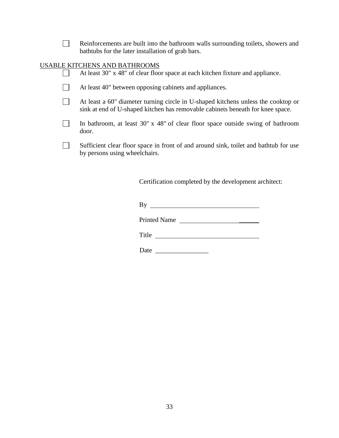| Reinforcements are built into the bathroom walls surrounding toilets, showers and |
|-----------------------------------------------------------------------------------|
| bathtubs for the later installation of grab bars.                                 |

## USABLE KITCHENS AND BATHROOMS

| At least 30" x 48" of clear floor space at each kitchen fixture and appliance.                                                                                      |
|---------------------------------------------------------------------------------------------------------------------------------------------------------------------|
| At least 40" between opposing cabinets and appliances.                                                                                                              |
| At least a 60" diameter turning circle in U-shaped kitchens unless the cooktop or<br>sink at end of U-shaped kitchen has removable cabinets beneath for knee space. |
| In bathroom, at least $30'' \times 48''$ of clear floor space outside swing of bathroom<br>door.                                                                    |
| Sufficient clear floor space in front of and around sink, toilet and bathtub for use<br>by persons using wheelchairs.                                               |

Certification completed by the development architect:

By

Printed Name

Title

Date \_\_\_\_\_\_\_\_\_\_\_\_\_\_\_\_